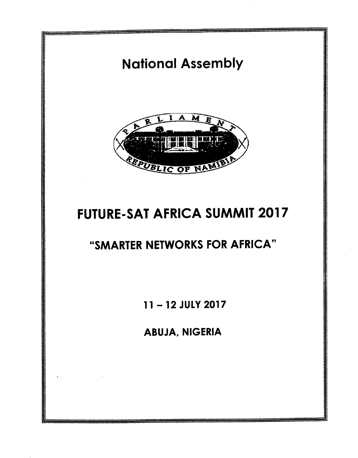# National Assembly



# FUTURE-SAT AFRICA SUMMIT 2017

## "SMARTER NETWORKS FOR AFRICA"

11 -12 JULY 2017

ABUJA, NIGERIA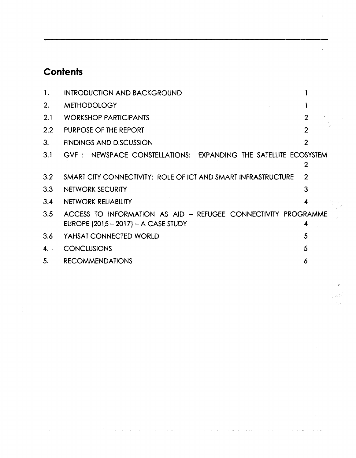## **Contents**

 $\bar{\lambda} = \bar{\lambda}$ 

 $\mathcal{L}$ 

 $\sim$  $\sim 100$  km s  $^{-1}$  $\sim 10$  .<br>Links

 $\ddot{\phantom{a}}$ 

 $\mathbf{r}$ 

| 1.               | <b>INTRODUCTION AND BACKGROUND</b>                                                                     |                |
|------------------|--------------------------------------------------------------------------------------------------------|----------------|
| 2.               | <b>METHODOLOGY</b>                                                                                     |                |
| 2.1              | <b>WORKSHOP PARTICIPANTS</b>                                                                           | $\overline{2}$ |
| $2.2\phantom{0}$ | PURPOSE OF THE REPORT                                                                                  | $\overline{2}$ |
| 3.               | <b>FINDINGS AND DISCUSSION</b>                                                                         | $\overline{2}$ |
| 3.1              | GVF: NEWSPACE CONSTELLATIONS: EXPANDING THE SATELLITE ECOSYSTEM                                        | 2              |
| $3.2\,$          | SMART CITY CONNECTIVITY: ROLE OF ICT AND SMART INFRASTRUCTURE                                          | $\mathbf{2}$   |
| 3.3              | NETWORK SECURITY                                                                                       | 3              |
| 3.4              | NETWORK RELIABILITY                                                                                    | 4              |
| 3.5              | ACCESS TO INFORMATION AS AID - REFUGEE CONNECTIVITY PROGRAMME<br>EUROPE $(2015 - 2017) - A$ CASE STUDY | 4              |
| 3.6              | YAHSAT CONNECTED WORLD                                                                                 | 5              |
| 4.1              | <b>CONCLUSIONS</b>                                                                                     | 5              |
| 5.               | <b>RECOMMENDATIONS</b>                                                                                 | 6              |

 $\lambda$ 

 $\hat{\boldsymbol{\beta}}$ 

÷.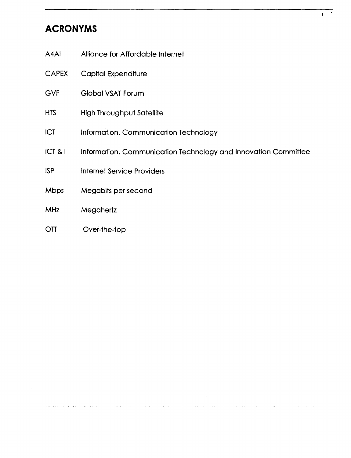## **ACRONYMS**

- A4AI Alliance for Affordable Internet
- CAPEX Capital Expenditure
- GVF Global VSAT Forum
- HTS High Throughput Satellite
- ICT Information, Communication Technology
- ICT & I Information, Communication Technology and Innovation Committee
- ISP Internet Service Providers
- Mbps Megabits per second
- MHz Megahertz
- OTT Over-the-top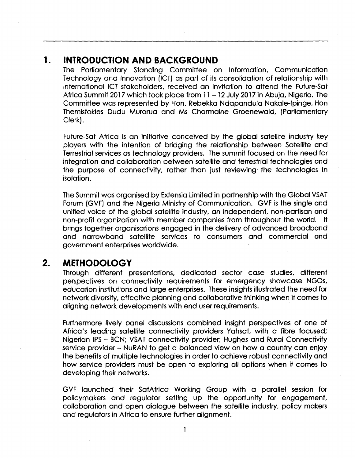## **1. INTRODUCTION AND BACKGROUND**

The Parliamentary Standing Committee on Information, Communication Technology and Innovation (ICT) as part of its consolidation of relationship with international ICT stakeholders, received an invitation to attend the Future-Sat Africa Summit 2017 which took place from 11 - 12 July 2017 in Abuja, Nigeria. The Committee was represented by Hon. Rebekka Ndapandula Nakale-Ipinge, Hon Themistokles Dudu Murorua and Ms Charmaine Groenewald, (Parliamentary Clerk).

Future-Sat Africa is an initiative conceived by the global satellite industry key players with the intention of bridging the relationship between Satellite and Terrestrial services as technology providers. The summit focused on the need for integration and collaboration between satellite and terrestrial technologies and the purpose of connectivity, rather than just reviewing the technologies in isolation.

The Summit was organised by Extensia Limited in partnership with the Global VSAT Forum (GVF) and the Nigeria Ministry of Communication. GVF is the single and unified voice of the global satellite industry, an independent, non-partisan and non-profit organization with member companies from throughout the world. It brings together organisations engaged in the delivery of advanced broadband and narrowband satellite services to consumers and commercial and government enterprises worldwide.

## **2. METHODOLOGY**

Through different presentations, dedicated sector case studies, different perspectives on connectivity requirements for emergency showcase NGOs, education institutions and large enterprises. These insights illustrated the need for network diversity, effective planning and collaborative thinking when it comes to aligning network developments with end userrequirements.

Furthermore lively panel discussions combined insight perspectives of one of Africa's leading satellite connectivity providers Yahsat, with a fibre focused; Nigerian IPS - BCN; VSAT connectivity provider; Hughes and Rural Connectivity service provider - NuRAN to get a balanced view on how a country can enjoy the benefits of multiple technologies in order to achieve robust connectivity and how service providers must be open to exploring all options when it comes to developing their networks.

GVF launched their SatAfrica Working Group with a parallel session for policymakers and regulator setting up the opportunity for engagement, collaboration and open dialogue between the satellite industry, policy makers and regulators in Africa to ensure further alignment.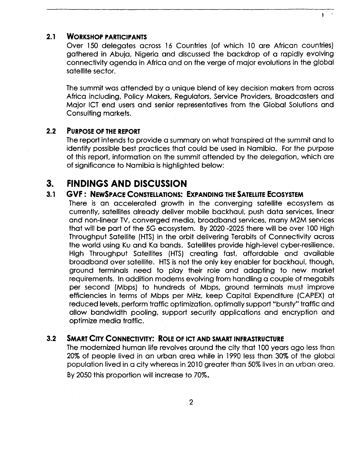#### **2.1 WORKSHOP PARTICIPANTS**

Over 150 delegates across 16 Countries (of which 10 are African countries) gathered in Abuja, Nigeria and discussed the backdrop of a rapidly evolving connectivity agenda in Africa and on the verge of major evolutions in the global satellite sector.

 $\overline{\phantom{a}}$ 

The summit was attended by a unique blend of key decision makers from across Africa including, Policy Makers, Regulators, Service Providers, Broadcasters and Major ICT end users and senior representatives from the Global Solutions and Consulting markets.

#### **2.2 PURPOSE OF THE REPORT**

The report intends to provide a summary on what transpired at the summit and to identify possible best practices that could be used in Namibia. For the purpose of this report, information on the summit attended by the delegation, which are of significance to Namibia is highlighted below:

## **3. FINDINGS AND DISCUSSION**

#### **3.1 GVF: NEWSPACE CONSTELLATIONS: EXPANDING THESATELLITEECOSYSTEM**

There is an accelerated growth in the converging satellite ecosystem as currently, satellites already deliver mobile backhaul, push data services, linear and non-linear TV, converged media, broadband services, many M2M services that will be part of the 5G ecosystem. By 2020-2025 there will be over 100 High Throughput Satellite (HTS) in the orbit delivering Terabits of Connectivity across the world using Ku and Ka bands. Satellites provide high-level cyber-resilience. High Throughput Satellites (HTS) creating fast, affordable and available broadband over satellite. HTS is not the only key enabler for backhaul, though, ground terminals need to play their role and adapting to new market requirements. In addition modems evolving from handling a couple of megabits per second (Mbps) to hundreds of Mbps, ground terminals must improve efficiencies in terms of Mbps per MHz, keep Capital Expenditure (CAPEX) at reduced levels, perform traffic optimization, optimally support "bursty" traffic and allow bandwidth pooling, support security applications and encryption and optimize media traffic.

#### **3.2 SMART CITY CONNECTIVITY: ROLE OF ICT AND SMART INFRASTRUCTURE**

The modernized human life revolves around the city that 100 years ago less than 20% of people lived in an urban area while in 1990 less than 30% of the global population lived in a city whereas in 2010 greater than 50% lives in an urban area. By2050 this proportion will increase to 70%.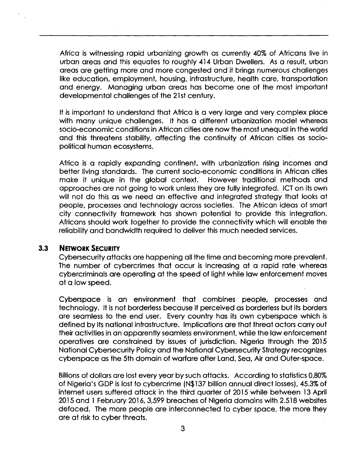Africa is witnessing rapid urbanizing growth as currently 40% of Africans live in urban areas and this equates to roughly 414 Urban Dwellers. As a result, urban areas are getting more and more congested and it brings numerous challenges like education, employment, housing, infrastructure, health care, transportation and energy. Managing urban areas has become one of the most important developmental challenges of the 21st century.

It is important to understand that Africa is a very large and very complex place with many unique challenges. It has a different urbanization model whereas socio-economic conditions in African cities are now the most unequal in the world and this threatens stability, affecting the continuity of African cities as sociopolitical human ecosystems.

Africa is a rapidly expanding continent, with urbanization rising incomes and better living standards. The current socio-economic conditions in African cities make it unique in the global context. However traditional methods and approaches are not going to work unless they are fully integrated. ICTon its own will not do this as we need an effective and integrated strategy that looks at people, processes and technology across societies. The African ideas of smart city connectivity framework has shown potential to provide this integration. Africans should work together to provide the connectivity which will enable the reliability and bandwidth required to deliver this much needed services.

#### **3.3 NETWORK SECURITY**

Cybersecurity attacks are happening all the time and becoming more prevalent. The number of cybercrimes that occur is increasing at a rapid rate whereas cybercriminals are operating at the speed of light while law enforcement moves at a low speed.

Cyberspace is an environment that combines people, processes and technology. It is not borderless because it perceived as borderless but its borders are seamless to the end user. Every country has its own cyberspace which is defined by its national infrastructure. Implications are that threat actors carry out their activities in an apparently seamless environment, while the law enforcement operatives are constrained by issues of jurisdiction. Nigeria through the 2015 National Cybersecurity Policy and the National Cybersecurity Strategy recognizes cyberspace as the 5th domain of warfare after Land, Sea, Air and Outer-space.

Billions of dollars are lost every year by such attacks. According to statistics 0,80% of Nigeria's GDP is lost to cybercrime (N\$137 billion annual direct losses), 45.3%of internet users suffered attack in the third quarter of 2015 while between 13 April 2015 and 1 February 2016, 3,599 breaches of Nigeria domains with 2.518 websites defaced. The more people are interconnected to cyber space, the more they are at risk to cyber threats.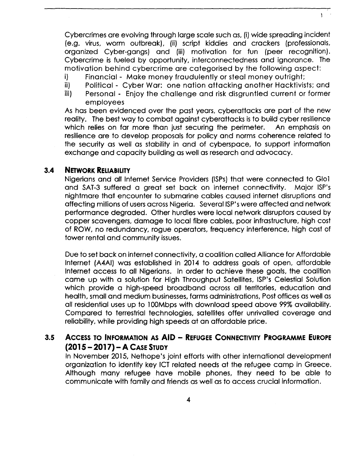Cybercrimes are evolving through large scale such as, (i) wide spreading incident (e.g. virus, worm outbreak), (ii) script kiddies and crackers (professionals, organized Cyber-gangs) and (iii) motivation for fun (peer recognition). Cybercrime is fueled by opportunity, interconnectedness and ignorance. The motivation behind cybercrime are categorised by the following aspect:

- i) Financial Make money fraudulently or steal money outright;
- ii) Political Cyber War: one nation attacking another Hacktivists; and
- iii) Personal Enjoy the challenge and risk disgruntled current or former employees

As has been evidenced over the past years, cyberattacks are part of the new reality. The best way to combat against cyberattacks is to build cyber resilience which relies on far more than just securing the perimeter. An emphasis on resilience are to develop proposals for policy and norms coherence related to the security as well as stability in and of cyberspace, to support information exchange and capacity building as well as research and advocacy.

#### **3.4 NETWORK RELIABILITY**

Nigerians and all Internet Service Providers (ISPs) that were connected to Glo1 and SAT-3 suffered a great set back on internet connectivity. Major ISP's nightmare that encounter to submarine cables caused internet disruptions and affecting millions of users across Nigeria. Several ISP's were affected and network performance degraded. Other hurdles were local network disruptors caused by copper scavengers, damage to local fibre cables, poor infrastructure, high cost of ROW, no redundancy, rogue operators, frequency interference, high cost of tower rental and community issues.

Due to set back on internet connectivity, a coalition called Alliance for Affordable Internet (A4AI) was established in 2014 to address goals of open, affordable Internet access to all Nigerians. In order to achieve these goals, the coalition came up with a solution for High Throughput Satellites, ISP's Celestial Solution which provide a high-speed broadband across all territories, education and health, small and medium businesses, farms administrations, Post offices as well as all residential uses up to 100Mbps with download speed above 99%availability. Compared to terrestrial technologies, satellites offer unrivalled coverage and reliability, while providing high speeds at an affordable price.

### **3.5 ACCESS TO INFORMATION AS AID - REFUGEE CONNECTIVITY PROGRAMME EUROPE (2015 - 2017) - <sup>A</sup> CASE STUDY**

In November 2015, Nethope's joint efforts with other international development organization to identify key ICT related needs at the refugee camp in Greece. Although many refugee have mobile phones, they need to be able to communicate with family and friends as well as to access crucial information.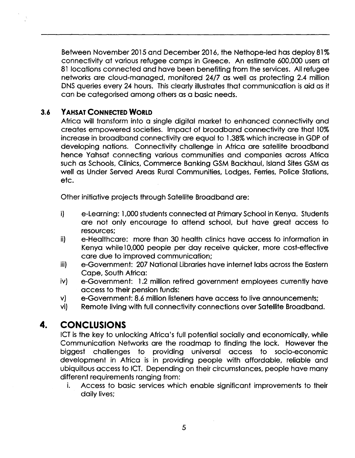Between November 2015and December 2016, the Nethope-Ied has deploy 81% connectivity at various refugee camps in Greece. An estimate 600,000 usersat 81 locations connected and have been benefiting from the services. All refugee networks are cloud-managed, monitored 24/7 as well as protecting 2.4 million DNS queries every 24 hours. This clearly illustrates that communication is aid as it can be categorised among others as a basic needs.

### **3.6 YAHSAT CONNECTED WORLD**

Africa will transform into a single digital market to enhanced connectivity and creates empowered societies. Impact of broadband connectivity are that 10% increase in broadband connectivity are equal to 1.38% which increase in GDP of developing nations. Connectivity challenge in Africa are satellite broadband hence Yahsat connecting various communities and companies across Africa such as Schools, Clinics, Commerce Banking GSM Backhaul, Island Sites GSM as well as Under Served Areas Rural Communities, Lodges, Ferries, Police Stations, etc.

Other initiative projects through Satellite Broadband are:

- i) e-Learning: 1,000 students connected at Primary School in Kenya. Students are not only encourage to attend school, but have great access to resources;
- ii) e-Healthcare: more than 30 health clinics have access to information in Kenya while 10,000 people per day receive quicker, more cost-effective care due to improved communication;
- iii) e-Government: 207 National Libraries have internet labs across the Eastern Cape, South Africa:
- iv) e-Government: 1.2 million retired government employees currently have access to their pension funds:
- v) e-Government: 8.6 million listenershave access to live announcements;
- vi) Remote living with full connectivity connections over Satellite Broadband.

## **4. CONCLUSIONS**

ICT is the key to unlocking Africa's full potential socially and economically, while Communication Networks are the roadmap to finding the lock. However the biggest challenges to providing universal access to socio-economic development in Africa is in providing people with affordable, reliable and ubiquitous access to ICT. Depending on their circumstances, people have many different requirements ranging from:

i. Access to basic services which enable significant improvements to their daily lives;